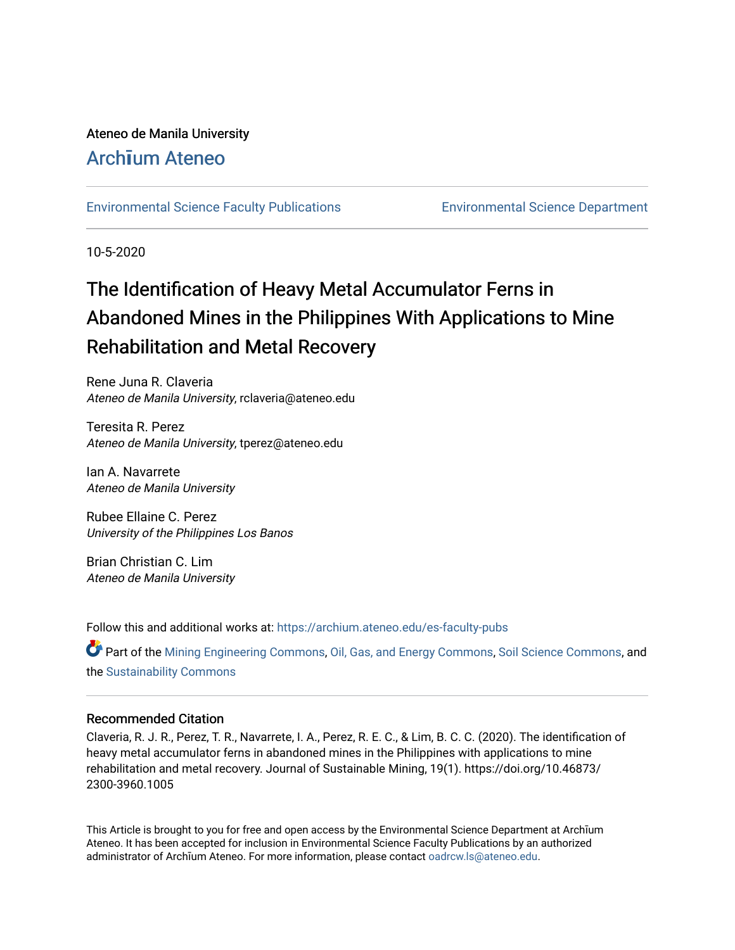## Ateneo de Manila University

# Arch**ī**[um Ateneo](https://archium.ateneo.edu/)

[Environmental Science Faculty Publications](https://archium.ateneo.edu/es-faculty-pubs) [Environmental Science Department](https://archium.ateneo.edu/es) 

10-5-2020

# The Identification of Heavy Metal Accumulator Ferns in Abandoned Mines in the Philippines With Applications to Mine Rehabilitation and Metal Recovery

Rene Juna R. Claveria Ateneo de Manila University, rclaveria@ateneo.edu

Teresita R. Perez Ateneo de Manila University, tperez@ateneo.edu

Ian A. Navarrete Ateneo de Manila University

Rubee Ellaine C. Perez University of the Philippines Los Banos

Brian Christian C. Lim Ateneo de Manila University

Follow this and additional works at: [https://archium.ateneo.edu/es-faculty-pubs](https://archium.ateneo.edu/es-faculty-pubs?utm_source=archium.ateneo.edu%2Fes-faculty-pubs%2F86&utm_medium=PDF&utm_campaign=PDFCoverPages) 

Part of the [Mining Engineering Commons,](http://network.bepress.com/hgg/discipline/1090?utm_source=archium.ateneo.edu%2Fes-faculty-pubs%2F86&utm_medium=PDF&utm_campaign=PDFCoverPages) [Oil, Gas, and Energy Commons](http://network.bepress.com/hgg/discipline/171?utm_source=archium.ateneo.edu%2Fes-faculty-pubs%2F86&utm_medium=PDF&utm_campaign=PDFCoverPages), [Soil Science Commons](http://network.bepress.com/hgg/discipline/163?utm_source=archium.ateneo.edu%2Fes-faculty-pubs%2F86&utm_medium=PDF&utm_campaign=PDFCoverPages), and the [Sustainability Commons](http://network.bepress.com/hgg/discipline/1031?utm_source=archium.ateneo.edu%2Fes-faculty-pubs%2F86&utm_medium=PDF&utm_campaign=PDFCoverPages) 

## Recommended Citation

Claveria, R. J. R., Perez, T. R., Navarrete, I. A., Perez, R. E. C., & Lim, B. C. C. (2020). The identification of heavy metal accumulator ferns in abandoned mines in the Philippines with applications to mine rehabilitation and metal recovery. Journal of Sustainable Mining, 19(1). https://doi.org/10.46873/ 2300-3960.1005

This Article is brought to you for free and open access by the Environmental Science Department at Archīum Ateneo. It has been accepted for inclusion in Environmental Science Faculty Publications by an authorized administrator of Archīum Ateneo. For more information, please contact [oadrcw.ls@ateneo.edu](mailto:oadrcw.ls@ateneo.edu).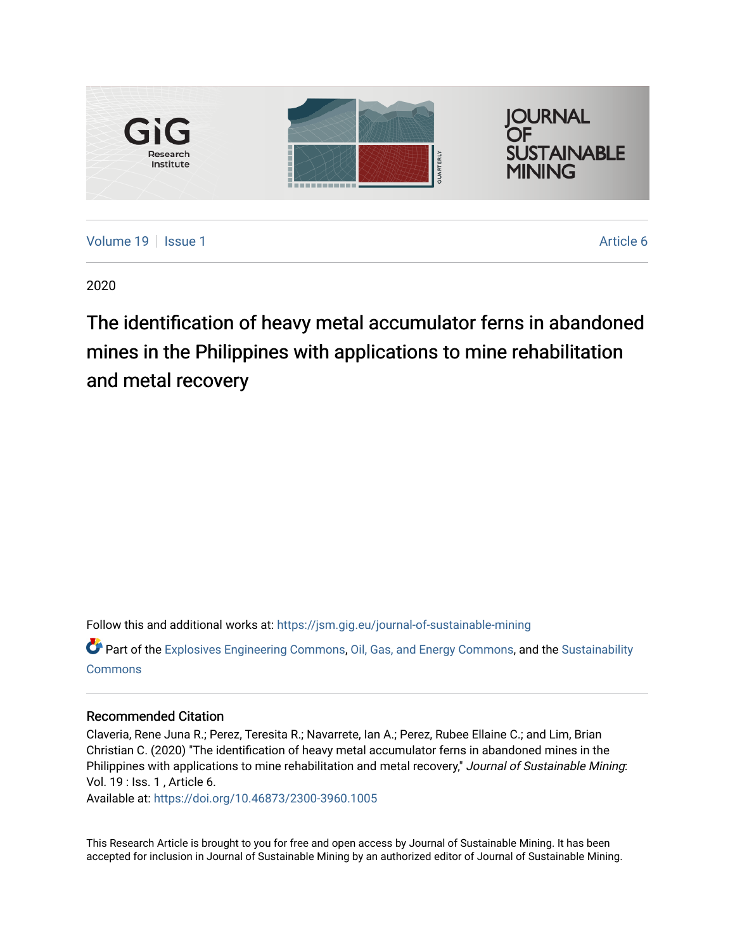

2020

The identification of heavy metal accumulator ferns in abandoned mines in the Philippines with applications to mine rehabilitation and metal recovery

Follow this and additional works at: [https://jsm.gig.eu/journal-of-sustainable-mining](https://jsm.gig.eu/journal-of-sustainable-mining?utm_source=jsm.gig.eu%2Fjournal-of-sustainable-mining%2Fvol19%2Fiss1%2F6&utm_medium=PDF&utm_campaign=PDFCoverPages)  Part of the [Explosives Engineering Commons,](http://network.bepress.com/hgg/discipline/1401?utm_source=jsm.gig.eu%2Fjournal-of-sustainable-mining%2Fvol19%2Fiss1%2F6&utm_medium=PDF&utm_campaign=PDFCoverPages) [Oil, Gas, and Energy Commons](http://network.bepress.com/hgg/discipline/171?utm_source=jsm.gig.eu%2Fjournal-of-sustainable-mining%2Fvol19%2Fiss1%2F6&utm_medium=PDF&utm_campaign=PDFCoverPages), and the [Sustainability](http://network.bepress.com/hgg/discipline/1031?utm_source=jsm.gig.eu%2Fjournal-of-sustainable-mining%2Fvol19%2Fiss1%2F6&utm_medium=PDF&utm_campaign=PDFCoverPages)  [Commons](http://network.bepress.com/hgg/discipline/1031?utm_source=jsm.gig.eu%2Fjournal-of-sustainable-mining%2Fvol19%2Fiss1%2F6&utm_medium=PDF&utm_campaign=PDFCoverPages)

### Recommended Citation

Claveria, Rene Juna R.; Perez, Teresita R.; Navarrete, Ian A.; Perez, Rubee Ellaine C.; and Lim, Brian Christian C. (2020) "The identification of heavy metal accumulator ferns in abandoned mines in the Philippines with applications to mine rehabilitation and metal recovery," Journal of Sustainable Mining: Vol. 19 : Iss. 1 , Article 6.

Available at:<https://doi.org/10.46873/2300-3960.1005>

This Research Article is brought to you for free and open access by Journal of Sustainable Mining. It has been accepted for inclusion in Journal of Sustainable Mining by an authorized editor of Journal of Sustainable Mining.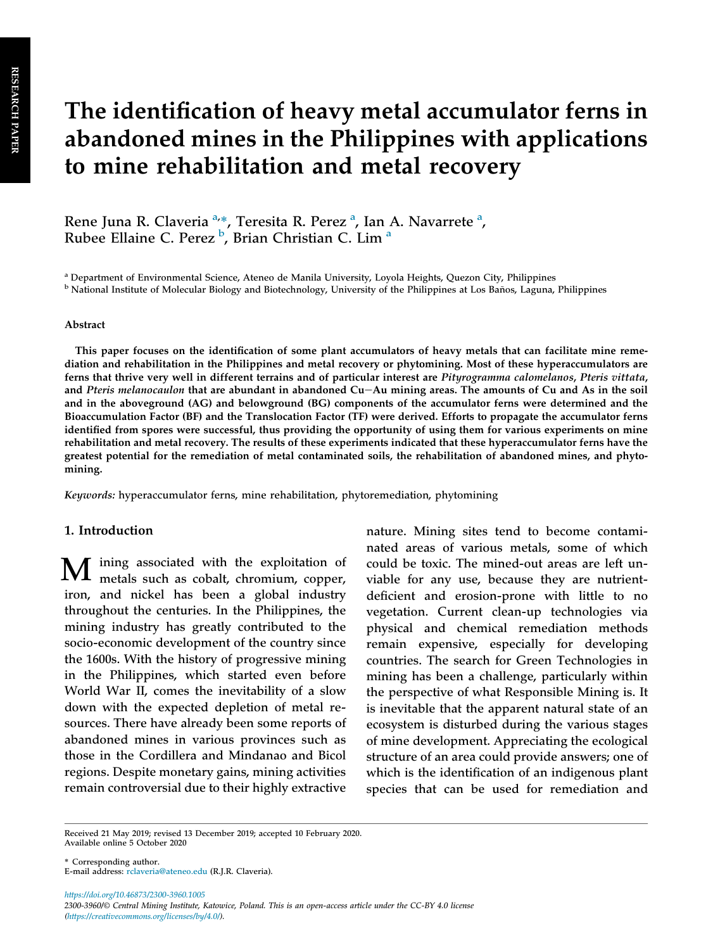# The identification of heavy metal accumulator ferns in abandoned mines in the Philippines with applications to mine rehabilitation and metal recovery

Rene Juna R. Claveria <sup>a,\*</sup>, Teresita R. Perez <sup>a</sup>, Ian A. Navarrete <sup>a</sup>, Rubee Ellaine C. Perez <sup>b</sup>, Brian Christian C. Lim <sup>a</sup>

<sup>a</sup> Department of Environmental Science, Ateneo de Manila University, Loyola Heights, Quezon City, Philippines

<sup>b</sup> National Institute of Molecular Biology and Biotechnology, University of the Philippines at Los Baños, Laguna, Philippines

#### Abstract

This paper focuses on the identification of some plant accumulators of heavy metals that can facilitate mine remediation and rehabilitation in the Philippines and metal recovery or phytomining. Most of these hyperaccumulators are ferns that thrive very well in different terrains and of particular interest are Pityrogramma calomelanos, Pteris vittata, and Pteris melanocaulon that are abundant in abandoned Cu-Au mining areas. The amounts of Cu and As in the soil and in the aboveground (AG) and belowground (BG) components of the accumulator ferns were determined and the Bioaccumulation Factor (BF) and the Translocation Factor (TF) were derived. Efforts to propagate the accumulator ferns identified from spores were successful, thus providing the opportunity of using them for various experiments on mine rehabilitation and metal recovery. The results of these experiments indicated that these hyperaccumulator ferns have the greatest potential for the remediation of metal contaminated soils, the rehabilitation of abandoned mines, and phytomining.

Keywords: hyperaccumulator ferns, mine rehabilitation, phytoremediation, phytomining

#### 1. Introduction

M ining associated with the exploitation of metals such as cobalt, chromium, copper, iron, and nickel has been a global industry throughout the centuries. In the Philippines, the mining industry has greatly contributed to the socio-economic development of the country since the 1600s. With the history of progressive mining in the Philippines, which started even before World War II, comes the inevitability of a slow down with the expected depletion of metal resources. There have already been some reports of abandoned mines in various provinces such as those in the Cordillera and Mindanao and Bicol regions. Despite monetary gains, mining activities remain controversial due to their highly extractive

nature. Mining sites tend to become contaminated areas of various metals, some of which could be toxic. The mined-out areas are left unviable for any use, because they are nutrientdeficient and erosion-prone with little to no vegetation. Current clean-up technologies via physical and chemical remediation methods remain expensive, especially for developing countries. The search for Green Technologies in mining has been a challenge, particularly within the perspective of what Responsible Mining is. It is inevitable that the apparent natural state of an ecosystem is disturbed during the various stages of mine development. Appreciating the ecological structure of an area could provide answers; one of which is the identification of an indigenous plant species that can be used for remediation and

\* Corresponding author. E-mail address: rclaveria@ateneo.edu (R.J.R. Claveria).

https://doi.org/10.46873/2300-3960.1005 2300-3960/© Central Mining Institute, Katowice, Poland. This is an open-access article under the CC-BY 4.0 license (https://creativecommons.org/licenses/by/4.0/).

Received 21 May 2019; revised 13 December 2019; accepted 10 February 2020. Available online 5 October 2020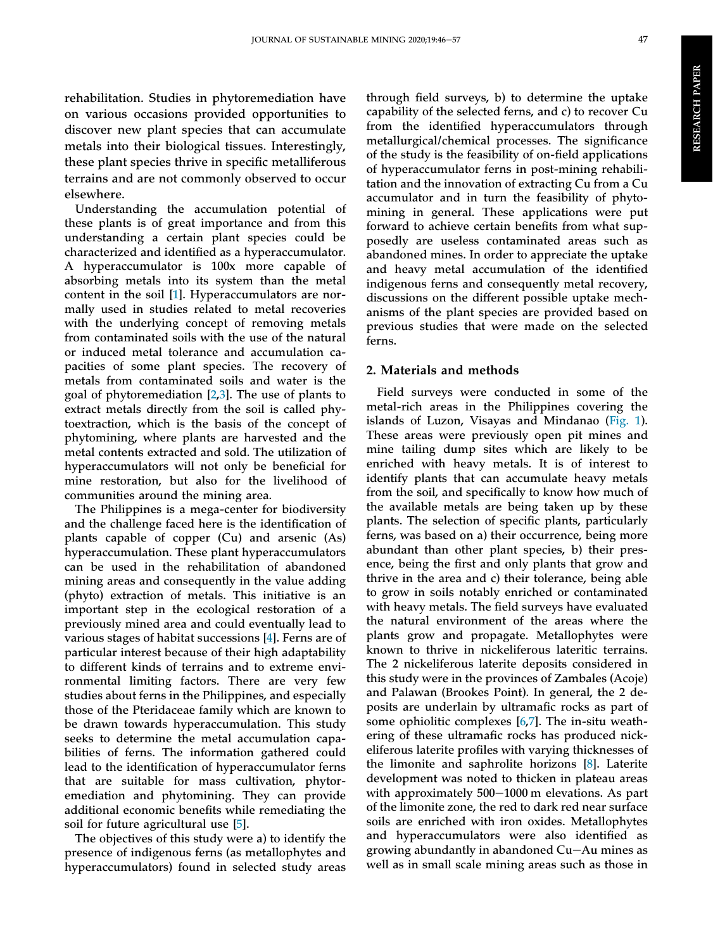rehabilitation. Studies in phytoremediation have on various occasions provided opportunities to discover new plant species that can accumulate metals into their biological tissues. Interestingly, these plant species thrive in specific metalliferous terrains and are not commonly observed to occur elsewhere.

Understanding the accumulation potential of these plants is of great importance and from this understanding a certain plant species could be characterized and identified as a hyperaccumulator. A hyperaccumulator is 100x more capable of absorbing metals into its system than the metal content in the soil [\[1](#page-12-0)]. Hyperaccumulators are normally used in studies related to metal recoveries with the underlying concept of removing metals from contaminated soils with the use of the natural or induced metal tolerance and accumulation capacities of some plant species. The recovery of metals from contaminated soils and water is the goal of phytoremediation  $[2,3]$  $[2,3]$  $[2,3]$ . The use of plants to extract metals directly from the soil is called phytoextraction, which is the basis of the concept of phytomining, where plants are harvested and the metal contents extracted and sold. The utilization of hyperaccumulators will not only be beneficial for mine restoration, but also for the livelihood of communities around the mining area.

The Philippines is a mega-center for biodiversity and the challenge faced here is the identification of plants capable of copper (Cu) and arsenic (As) hyperaccumulation. These plant hyperaccumulators can be used in the rehabilitation of abandoned mining areas and consequently in the value adding (phyto) extraction of metals. This initiative is an important step in the ecological restoration of a previously mined area and could eventually lead to various stages of habitat successions [[4\]](#page-12-0). Ferns are of particular interest because of their high adaptability to different kinds of terrains and to extreme environmental limiting factors. There are very few studies about ferns in the Philippines, and especially those of the Pteridaceae family which are known to be drawn towards hyperaccumulation. This study seeks to determine the metal accumulation capabilities of ferns. The information gathered could lead to the identification of hyperaccumulator ferns that are suitable for mass cultivation, phytoremediation and phytomining. They can provide additional economic benefits while remediating the soil for future agricultural use [[5\]](#page-12-0).

The objectives of this study were a) to identify the presence of indigenous ferns (as metallophytes and hyperaccumulators) found in selected study areas

through field surveys, b) to determine the uptake capability of the selected ferns, and c) to recover Cu from the identified hyperaccumulators through metallurgical/chemical processes. The significance of the study is the feasibility of on-field applications of hyperaccumulator ferns in post-mining rehabilitation and the innovation of extracting Cu from a Cu accumulator and in turn the feasibility of phytomining in general. These applications were put forward to achieve certain benefits from what supposedly are useless contaminated areas such as abandoned mines. In order to appreciate the uptake and heavy metal accumulation of the identified indigenous ferns and consequently metal recovery, discussions on the different possible uptake mechanisms of the plant species are provided based on previous studies that were made on the selected ferns.

### 2. Materials and methods

Field surveys were conducted in some of the metal-rich areas in the Philippines covering the islands of Luzon, Visayas and Mindanao [\(Fig. 1\)](#page-4-0). These areas were previously open pit mines and mine tailing dump sites which are likely to be enriched with heavy metals. It is of interest to identify plants that can accumulate heavy metals from the soil, and specifically to know how much of the available metals are being taken up by these plants. The selection of specific plants, particularly ferns, was based on a) their occurrence, being more abundant than other plant species, b) their presence, being the first and only plants that grow and thrive in the area and c) their tolerance, being able to grow in soils notably enriched or contaminated with heavy metals. The field surveys have evaluated the natural environment of the areas where the plants grow and propagate. Metallophytes were known to thrive in nickeliferous lateritic terrains. The 2 nickeliferous laterite deposits considered in this study were in the provinces of Zambales (Acoje) and Palawan (Brookes Point). In general, the 2 deposits are underlain by ultramafic rocks as part of some ophiolitic complexes [\[6](#page-12-0),[7\]](#page-12-0). The in-situ weathering of these ultramafic rocks has produced nickeliferous laterite profiles with varying thicknesses of the limonite and saphrolite horizons [\[8](#page-12-0)]. Laterite development was noted to thicken in plateau areas with approximately  $500-1000$  m elevations. As part of the limonite zone, the red to dark red near surface soils are enriched with iron oxides. Metallophytes and hyperaccumulators were also identified as growing abundantly in abandoned  $Cu - Au$  mines as well as in small scale mining areas such as those in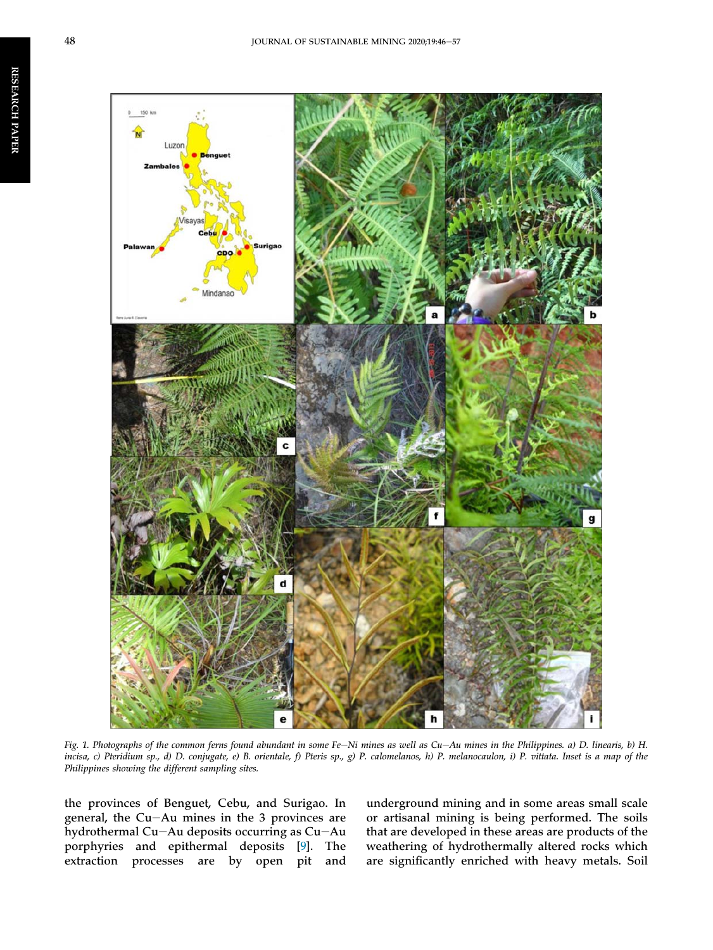<span id="page-4-0"></span>

Fig. 1. Photographs of the common ferns found abundant in some Fe-Ni mines as well as Cu-Au mines in the Philippines. a) D. linearis, b) H. incisa, c) Pteridium sp., d) D. conjugate, e) B. orientale, f) Pteris sp., g) P. calomelanos, h) P. melanocaulon, i) P. vittata. Inset is a map of the Philippines showing the different sampling sites.

the provinces of Benguet, Cebu, and Surigao. In general, the Cu-Au mines in the 3 provinces are hydrothermal Cu-Au deposits occurring as  $Cu$ -Au porphyries and epithermal deposits [[9\]](#page-12-0). The extraction processes are by open pit and underground mining and in some areas small scale or artisanal mining is being performed. The soils that are developed in these areas are products of the weathering of hydrothermally altered rocks which are significantly enriched with heavy metals. Soil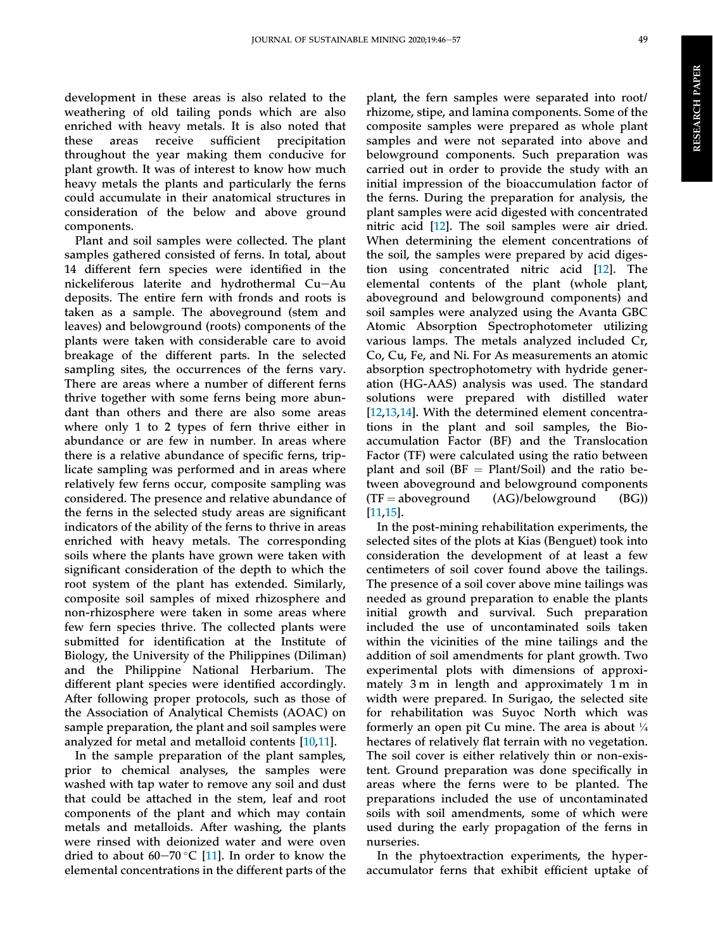development in these areas is also related to the weathering of old tailing ponds which are also enriched with heavy metals. It is also noted that these areas receive sufficient precipitation throughout the year making them conducive for plant growth. It was of interest to know how much heavy metals the plants and particularly the ferns could accumulate in their anatomical structures in consideration of the below and above ground components.

Plant and soil samples were collected. The plant samples gathered consisted of ferns. In total, about 14 different fern species were identified in the  $nickeliferous$  laterite and hydrothermal  $Cu-Au$ deposits. The entire fern with fronds and roots is taken as a sample. The aboveground (stem and leaves) and belowground (roots) components of the plants were taken with considerable care to avoid breakage of the different parts. In the selected sampling sites, the occurrences of the ferns vary. There are areas where a number of different ferns thrive together with some ferns being more abundant than others and there are also some areas where only 1 to 2 types of fern thrive either in abundance or are few in number. In areas where there is a relative abundance of specific ferns, triplicate sampling was performed and in areas where relatively few ferns occur, composite sampling was considered. The presence and relative abundance of the ferns in the selected study areas are significant indicators of the ability of the ferns to thrive in areas enriched with heavy metals. The corresponding soils where the plants have grown were taken with significant consideration of the depth to which the root system of the plant has extended. Similarly, composite soil samples of mixed rhizosphere and non-rhizosphere were taken in some areas where few fern species thrive. The collected plants were submitted for identification at the Institute of Biology, the University of the Philippines (Diliman) and the Philippine National Herbarium. The different plant species were identified accordingly. After following proper protocols, such as those of the Association of Analytical Chemists (AOAC) on sample preparation, the plant and soil samples were analyzed for metal and metalloid contents [\[10](#page-12-0),[11\]](#page-13-0).

In the sample preparation of the plant samples, prior to chemical analyses, the samples were washed with tap water to remove any soil and dust that could be attached in the stem, leaf and root components of the plant and which may contain metals and metalloids. After washing, the plants were rinsed with deionized water and were oven dried to about 60–70 °C [[11\]](#page-13-0). In order to know the elemental concentrations in the different parts of the

plant, the fern samples were separated into root/ rhizome, stipe, and lamina components. Some of the composite samples were prepared as whole plant samples and were not separated into above and belowground components. Such preparation was carried out in order to provide the study with an initial impression of the bioaccumulation factor of the ferns. During the preparation for analysis, the plant samples were acid digested with concentrated nitric acid [\[12](#page-13-0)]. The soil samples were air dried. When determining the element concentrations of the soil, the samples were prepared by acid digestion using concentrated nitric acid [\[12](#page-13-0)]. The elemental contents of the plant (whole plant, aboveground and belowground components) and soil samples were analyzed using the Avanta GBC Atomic Absorption Spectrophotometer utilizing various lamps. The metals analyzed included Cr, Co, Cu, Fe, and Ni. For As measurements an atomic absorption spectrophotometry with hydride generation (HG-AAS) analysis was used. The standard solutions were prepared with distilled water [\[12](#page-13-0),[13,14](#page-13-0)]. With the determined element concentrations in the plant and soil samples, the Bioaccumulation Factor (BF) and the Translocation Factor (TF) were calculated using the ratio between plant and soil ( $BF = Plant/Soil$ ) and the ratio between aboveground and belowground components  $(TF = aboveground$  (AG)/belowground (BG)) [\[11](#page-13-0),[15\]](#page-13-0).

In the post-mining rehabilitation experiments, the selected sites of the plots at Kias (Benguet) took into consideration the development of at least a few centimeters of soil cover found above the tailings. The presence of a soil cover above mine tailings was needed as ground preparation to enable the plants initial growth and survival. Such preparation included the use of uncontaminated soils taken within the vicinities of the mine tailings and the addition of soil amendments for plant growth. Two experimental plots with dimensions of approximately 3 m in length and approximately 1 m in width were prepared. In Surigao, the selected site for rehabilitation was Suyoc North which was formerly an open pit Cu mine. The area is about  $\frac{1}{4}$ hectares of relatively flat terrain with no vegetation. The soil cover is either relatively thin or non-existent. Ground preparation was done specifically in areas where the ferns were to be planted. The preparations included the use of uncontaminated soils with soil amendments, some of which were used during the early propagation of the ferns in nurseries.

In the phytoextraction experiments, the hyperaccumulator ferns that exhibit efficient uptake of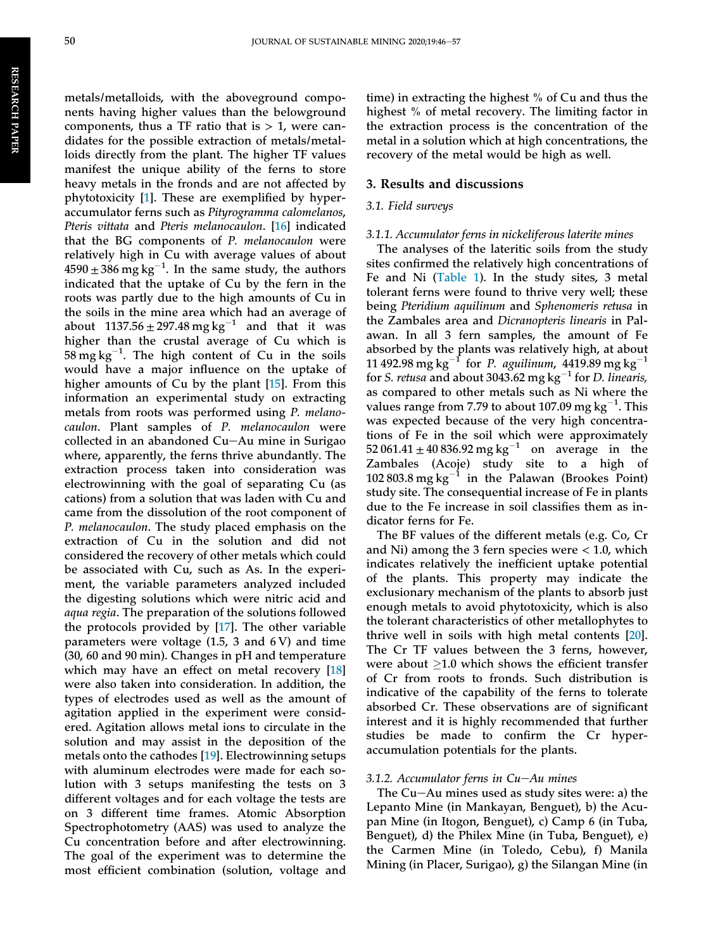metals/metalloids, with the aboveground components having higher values than the belowground components, thus a TF ratio that is  $> 1$ , were candidates for the possible extraction of metals/metalloids directly from the plant. The higher TF values manifest the unique ability of the ferns to store heavy metals in the fronds and are not affected by phytotoxicity [\[1](#page-12-0)]. These are exemplified by hyperaccumulator ferns such as Pityrogramma calomelanos, Pteris vittata and Pteris melanocaulon. [[16\]](#page-13-0) indicated that the BG components of P. melanocaulon were relatively high in Cu with average values of about  $4590 \pm 386$  mg kg<sup>-1</sup>. In the same study, the authors indicated that the uptake of Cu by the fern in the roots was partly due to the high amounts of Cu in the soils in the mine area which had an average of about  $1137.56 \pm 297.48$  mg kg<sup>-1</sup> and that it was higher than the crustal average of Cu which is  $58 \text{ mg} \text{ kg}^{-1}$ . The high content of Cu in the soils would have a major influence on the uptake of higher amounts of Cu by the plant [[15\]](#page-13-0). From this information an experimental study on extracting metals from roots was performed using P. melanocaulon. Plant samples of P. melanocaulon were collected in an abandoned Cu-Au mine in Surigao where, apparently, the ferns thrive abundantly. The extraction process taken into consideration was electrowinning with the goal of separating Cu (as cations) from a solution that was laden with Cu and came from the dissolution of the root component of P. melanocaulon. The study placed emphasis on the extraction of Cu in the solution and did not considered the recovery of other metals which could be associated with Cu, such as As. In the experiment, the variable parameters analyzed included the digesting solutions which were nitric acid and aqua regia. The preparation of the solutions followed the protocols provided by [[17\]](#page-13-0). The other variable parameters were voltage  $(1.5, 3 \text{ and } 6 \text{ V})$  and time (30, 60 and 90 min). Changes in pH and temperature which may have an effect on metal recovery [[18\]](#page-13-0) were also taken into consideration. In addition, the types of electrodes used as well as the amount of agitation applied in the experiment were considered. Agitation allows metal ions to circulate in the solution and may assist in the deposition of the metals onto the cathodes [[19\]](#page-13-0). Electrowinning setups with aluminum electrodes were made for each solution with 3 setups manifesting the tests on 3 different voltages and for each voltage the tests are on 3 different time frames. Atomic Absorption Spectrophotometry (AAS) was used to analyze the Cu concentration before and after electrowinning. The goal of the experiment was to determine the most efficient combination (solution, voltage and

time) in extracting the highest % of Cu and thus the highest % of metal recovery. The limiting factor in the extraction process is the concentration of the metal in a solution which at high concentrations, the recovery of the metal would be high as well.

#### 3. Results and discussions

#### 3.1. Field surveys

#### 3.1.1. Accumulator ferns in nickeliferous laterite mines

The analyses of the lateritic soils from the study sites confirmed the relatively high concentrations of Fe and Ni ([Table 1\)](#page-7-0). In the study sites, 3 metal tolerant ferns were found to thrive very well; these being Pteridium aquilinum and Sphenomeris retusa in the Zambales area and Dicranopteris linearis in Palawan. In all 3 fern samples, the amount of Fe absorbed by the plants was relatively high, at about 11 492.98 mg kg<sup>-1</sup> for *P. aguilinum*, 4419.89 mg kg<sup>-1</sup> for S. retusa and about 3043.62 mg  $kg^{-1}$  for D. linearis, as compared to other metals such as Ni where the values range from 7.79 to about 107.09 mg  $kg^{-1}$ . This was expected because of the very high concentrations of Fe in the soil which were approximately  $52\,061.41 \pm 40\,836.92 \,\text{mg}\,\text{kg}^{-1}$  on average in the Zambales (Acoje) study site to a high of 102 803.8 mg kg $^{-1}$  in the Palawan (Brookes Point) study site. The consequential increase of Fe in plants due to the Fe increase in soil classifies them as indicator ferns for Fe.

The BF values of the different metals (e.g. Co, Cr and Ni) among the 3 fern species were  $< 1.0$ , which indicates relatively the inefficient uptake potential of the plants. This property may indicate the exclusionary mechanism of the plants to absorb just enough metals to avoid phytotoxicity, which is also the tolerant characteristics of other metallophytes to thrive well in soils with high metal contents [[20\]](#page-13-0). The Cr TF values between the 3 ferns, however, were about  $>1.0$  which shows the efficient transfer of Cr from roots to fronds. Such distribution is indicative of the capability of the ferns to tolerate absorbed Cr. These observations are of significant interest and it is highly recommended that further studies be made to confirm the Cr hyperaccumulation potentials for the plants.

#### 3.1.2. Accumulator ferns in  $Cu-Au$  mines

The  $Cu$ -Au mines used as study sites were: a) the Lepanto Mine (in Mankayan, Benguet), b) the Acupan Mine (in Itogon, Benguet), c) Camp 6 (in Tuba, Benguet), d) the Philex Mine (in Tuba, Benguet), e) the Carmen Mine (in Toledo, Cebu), f) Manila Mining (in Placer, Surigao), g) the Silangan Mine (in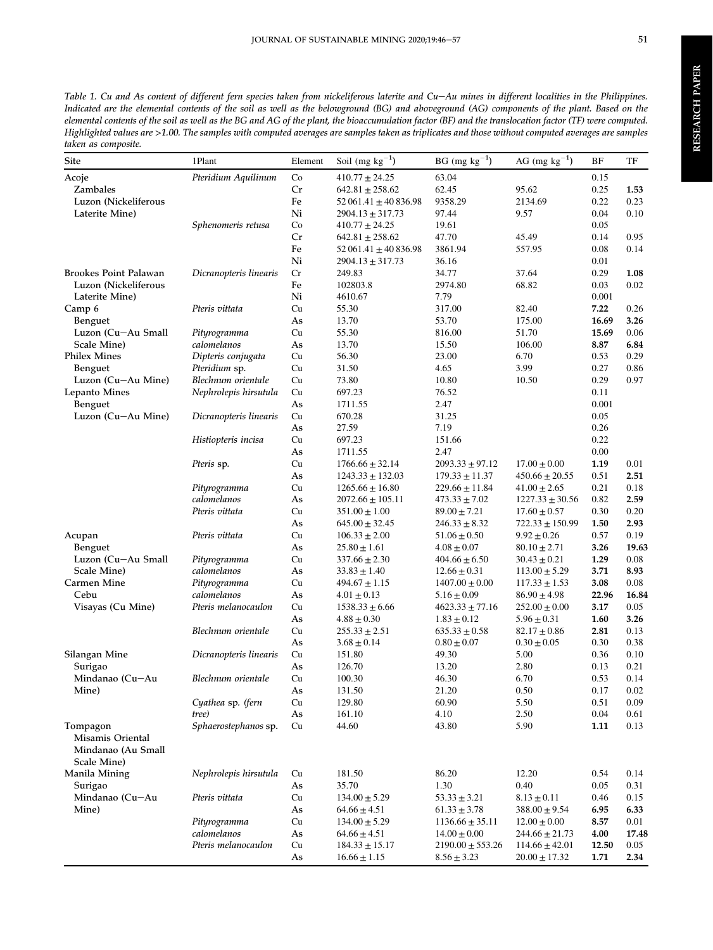<span id="page-7-0"></span>

| <b>Site</b>                                                                                                                                                                                                                                                                                                                                                                         | 1Plant                              | Element   | Soil (mg $\rm kg^{-1})$     | $BG$ (mg $kg^{-1}$ ) | AG (mg $\text{kg}^{-1}$ ) | ΒF           | TF           |
|-------------------------------------------------------------------------------------------------------------------------------------------------------------------------------------------------------------------------------------------------------------------------------------------------------------------------------------------------------------------------------------|-------------------------------------|-----------|-----------------------------|----------------------|---------------------------|--------------|--------------|
| Acoje                                                                                                                                                                                                                                                                                                                                                                               | Pteridium Aquilinum                 | $\rm{Co}$ | $410.77 \pm 24.25$          | 63.04                |                           | 0.15         |              |
| Zambales                                                                                                                                                                                                                                                                                                                                                                            |                                     | Cr        | $642.81 \pm 258.62$         | 62.45                | 95.62                     | 0.25         | 1.53         |
|                                                                                                                                                                                                                                                                                                                                                                                     |                                     | Fe        | $52\,061.41 \pm 40\,836.98$ | 9358.29              | 2134.69                   | 0.22         | 0.23         |
|                                                                                                                                                                                                                                                                                                                                                                                     |                                     | Ni        | $2904.13 \pm 317.73$        | 97.44                | 9.57                      | 0.04         | 0.10         |
|                                                                                                                                                                                                                                                                                                                                                                                     | Sphenomeris retusa                  | Co        | $410.77 \pm 24.25$          | 19.61                |                           | 0.05         |              |
|                                                                                                                                                                                                                                                                                                                                                                                     |                                     | Cr        | $642.81 \pm 258.62$         | 47.70                | 45.49                     | 0.14         | 0.95         |
| Luzon (Nickeliferous<br>Laterite Mine)<br><b>Brookes Point Palawan</b><br>Luzon (Nickeliferous<br>Laterite Mine)<br>Camp 6<br><b>Benguet</b><br>Luzon (Cu-Au Small<br>Scale Mine)<br><b>Philex Mines</b><br><b>Benguet</b><br>Luzon (Cu-Au Mine)<br>Lepanto Mines<br>Benguet<br>Luzon (Cu-Au Mine)<br>Acupan<br>Benguet<br>Luzon (Cu-Au Small<br>Scale Mine)<br>Carmen Mine<br>Cebu |                                     | Fe        | $52061.41 \pm 40836.98$     | 3861.94              | 557.95                    | 0.08         | 0.14         |
|                                                                                                                                                                                                                                                                                                                                                                                     |                                     | Ni        | 2904.13 ± 317.73            | 36.16                |                           | 0.01         |              |
|                                                                                                                                                                                                                                                                                                                                                                                     | Dicranopteris linearis              | Cr        | 249.83                      | 34.77                | 37.64                     | 0.29         | 1.08         |
|                                                                                                                                                                                                                                                                                                                                                                                     |                                     | Fe        | 102803.8                    | 2974.80              | 68.82                     | 0.03         | 0.02         |
|                                                                                                                                                                                                                                                                                                                                                                                     |                                     | Ni        | 4610.67                     | 7.79                 |                           | 0.001        |              |
|                                                                                                                                                                                                                                                                                                                                                                                     | Pteris vittata                      | Cu        | 55.30                       | 317.00               | 82.40                     | 7.22         | 0.26         |
|                                                                                                                                                                                                                                                                                                                                                                                     |                                     | As        | 13.70                       | 53.70                | 175.00                    | 16.69        | 3.26         |
|                                                                                                                                                                                                                                                                                                                                                                                     | Pityrogramma                        | Cu        | 55.30                       | 816.00               | 51.70                     | 15.69        | 0.06         |
|                                                                                                                                                                                                                                                                                                                                                                                     | calomelanos                         | As        | 13.70                       | 15.50                | 106.00                    | 8.87         | 6.84         |
|                                                                                                                                                                                                                                                                                                                                                                                     | Dipteris conjugata                  | Cu        | 56.30                       | 23.00<br>4.65        | 6.70<br>3.99              | 0.53         | 0.29<br>0.86 |
|                                                                                                                                                                                                                                                                                                                                                                                     | Pteridium sp.<br>Blechnum orientale | Cu<br>Cu  | 31.50<br>73.80              | 10.80                | 10.50                     | 0.27<br>0.29 | 0.97         |
|                                                                                                                                                                                                                                                                                                                                                                                     | Nephrolepis hirsutula               | Cu        | 697.23                      | 76.52                |                           | 0.11         |              |
|                                                                                                                                                                                                                                                                                                                                                                                     |                                     | As        | 1711.55                     | 2.47                 |                           | 0.001        |              |
|                                                                                                                                                                                                                                                                                                                                                                                     | Dicranopteris linearis              | Cu        | 670.28                      | 31.25                |                           | 0.05         |              |
|                                                                                                                                                                                                                                                                                                                                                                                     |                                     | As        | 27.59                       | 7.19                 |                           | 0.26         |              |
|                                                                                                                                                                                                                                                                                                                                                                                     | Histiopteris incisa                 | Cu        | 697.23                      | 151.66               |                           | 0.22         |              |
|                                                                                                                                                                                                                                                                                                                                                                                     |                                     | As        | 1711.55                     | 2.47                 |                           | 0.00         |              |
|                                                                                                                                                                                                                                                                                                                                                                                     | Pteris sp.                          | Cu        | $1766.66 \pm 32.14$         | $2093.33 \pm 97.12$  | $17.00 \pm 0.00$          | 1.19         | 0.01         |
|                                                                                                                                                                                                                                                                                                                                                                                     |                                     | As        | $1243.33 \pm 132.03$        | $179.33 \pm 11.37$   | $450.66 \pm 20.55$        | 0.51         | 2.51         |
|                                                                                                                                                                                                                                                                                                                                                                                     | Pityrogramma                        | Cu        | $1265.66 \pm 16.80$         | $229.66 \pm 11.84$   | $41.00 \pm 2.65$          | 0.21         | 0.18         |
|                                                                                                                                                                                                                                                                                                                                                                                     | calomelanos                         | As        | 2072.66 ± 105.11            | $473.33 \pm 7.02$    | $1227.33 \pm 30.56$       | 0.82         | 2.59         |
|                                                                                                                                                                                                                                                                                                                                                                                     | Pteris vittata                      | Cu        | $351.00 \pm 1.00$           | $89.00 \pm 7.21$     | $17.60 \pm 0.57$          | 0.30         | 0.20         |
|                                                                                                                                                                                                                                                                                                                                                                                     |                                     | As        | $645.00 \pm 32.45$          | $246.33 \pm 8.32$    | $722.33 \pm 150.99$       | 1.50         | 2.93         |
|                                                                                                                                                                                                                                                                                                                                                                                     | Pteris vittata                      | Cu        | $106.33 \pm 2.00$           | $51.06 \pm 0.50$     | $9.92 \pm 0.26$           | 0.57         | 0.19         |
|                                                                                                                                                                                                                                                                                                                                                                                     |                                     | As        | $25.80 \pm 1.61$            | $4.08 \pm 0.07$      | $80.10 \pm 2.71$          | 3.26         | 19.63        |
|                                                                                                                                                                                                                                                                                                                                                                                     | Pityrogramma                        | Cu        | $337.66 \pm 2.30$           | $404.66 \pm 6.50$    | $30.43 \pm 0.21$          | 1.29         | 0.08         |
|                                                                                                                                                                                                                                                                                                                                                                                     | calomelanos                         | As        | $33.83 \pm 1.40$            | $12.66 \pm 0.31$     | $113.00 \pm 5.29$         | 3.71         | 8.93         |
|                                                                                                                                                                                                                                                                                                                                                                                     | Pityrogramma                        | Cu        | $494.67 \pm 1.15$           | $1407.00 \pm 0.00$   | $117.33 \pm 1.53$         | 3.08         | 0.08         |
|                                                                                                                                                                                                                                                                                                                                                                                     | calomelanos                         | As        | $4.01 \pm 0.13$             | $5.16 \pm 0.09$      | $86.90 \pm 4.98$          | 22.96        | 16.84        |
| Visayas (Cu Mine)<br>Silangan Mine                                                                                                                                                                                                                                                                                                                                                  | Pteris melanocaulon                 | Cu        | $1538.33 \pm 6.66$          | $4623.33 \pm 77.16$  | $252.00 \pm 0.00$         | 3.17         | 0.05         |
|                                                                                                                                                                                                                                                                                                                                                                                     |                                     | As        | $4.88 \pm 0.30$             | $1.83 \pm 0.12$      | $5.96 \pm 0.31$           | 1.60         | 3.26         |
|                                                                                                                                                                                                                                                                                                                                                                                     | Blechnum orientale                  | Cu        | $255.33 \pm 2.51$           | $635.33 \pm 0.58$    | $82.17 \pm 0.86$          | 2.81         | 0.13         |
|                                                                                                                                                                                                                                                                                                                                                                                     |                                     | As        | $3.68 \pm 0.14$             | $0.80 \pm 0.07$      | $0.30 \pm 0.05$           | 0.30         | 0.38         |
|                                                                                                                                                                                                                                                                                                                                                                                     | Dicranopteris linearis              | Cu        | 151.80                      | 49.30                | 5.00                      | 0.36         | 0.10         |
| Surigao                                                                                                                                                                                                                                                                                                                                                                             |                                     | As        | 126.70                      | 13.20                | 2.80                      | 0.13         | 0.21         |
| Mindanao (Cu-Au                                                                                                                                                                                                                                                                                                                                                                     | Blechnum orientale                  | Cu        | 100.30                      | 46.30                | 6.70                      | 0.53         | 0.14         |
| Mine)                                                                                                                                                                                                                                                                                                                                                                               |                                     | As        | 131.50                      | 21.20                | $0.50\,$                  | 0.17         | $0.02\,$     |
|                                                                                                                                                                                                                                                                                                                                                                                     | Cyathea sp. (fern                   | Cu        | 129.80                      | 60.90                | 5.50                      | 0.51         | 0.09         |
|                                                                                                                                                                                                                                                                                                                                                                                     | tree)                               | As        | 161.10                      | 4.10                 | 2.50                      | 0.04         | 0.61         |
| Tompagon<br>Misamis Oriental                                                                                                                                                                                                                                                                                                                                                        | Sphaerostephanos sp.                | Cu        | 44.60                       | 43.80                | 5.90                      | 1.11         | 0.13         |
| Mindanao (Au Small<br>Scale Mine)                                                                                                                                                                                                                                                                                                                                                   |                                     |           |                             |                      |                           |              |              |
| Manila Mining                                                                                                                                                                                                                                                                                                                                                                       | Nephrolepis hirsutula               | Cu        | 181.50                      | 86.20                | 12.20                     | 0.54         | 0.14         |
| Surigao                                                                                                                                                                                                                                                                                                                                                                             |                                     | As        | 35.70                       | 1.30                 | 0.40                      | 0.05         | 0.31         |
| Mindanao (Cu-Au                                                                                                                                                                                                                                                                                                                                                                     | Pteris vittata                      | Cu        | $134.00 \pm 5.29$           | $53.33 \pm 3.21$     | $8.13 \pm 0.11$           | 0.46         | 0.15         |
| Mine)                                                                                                                                                                                                                                                                                                                                                                               |                                     | As        | $64.66 \pm 4.51$            | $61.33 \pm 3.78$     | $388.00 \pm 9.54$         | 6.95         | 6.33         |
|                                                                                                                                                                                                                                                                                                                                                                                     | Pityrogramma                        | Cu        | $134.00 \pm 5.29$           | $1136.66 \pm 35.11$  | $12.00 \pm 0.00$          | 8.57         | 0.01         |
|                                                                                                                                                                                                                                                                                                                                                                                     | calomelanos                         | As        | $64.66 \pm 4.51$            | $14.00 \pm 0.00$     | $244.66 \pm 21.73$        | 4.00         | 17.48        |
|                                                                                                                                                                                                                                                                                                                                                                                     | Pteris melanocaulon                 | Cu        | $184.33 \pm 15.17$          | $2190.00 \pm 553.26$ | $114.66 \pm 42.01$        | 12.50        | 0.05         |
|                                                                                                                                                                                                                                                                                                                                                                                     |                                     | As        | $16.66 \pm 1.15$            | $8.56 \pm 3.23$      | $20.00 \pm 17.32$         | 1.71         | 2.34         |
|                                                                                                                                                                                                                                                                                                                                                                                     |                                     |           |                             |                      |                           |              |              |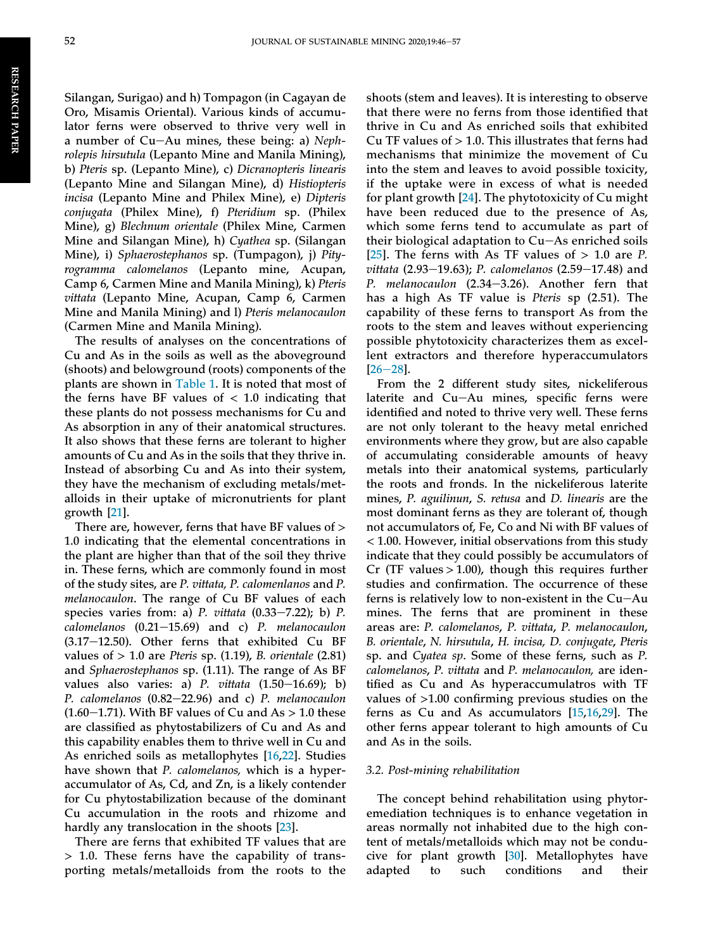Silangan, Surigao) and h) Tompagon (in Cagayan de Oro, Misamis Oriental). Various kinds of accumulator ferns were observed to thrive very well in a number of  $Cu-Au$  mines, these being: a) Nephrolepis hirsutula (Lepanto Mine and Manila Mining), b) Pteris sp. (Lepanto Mine), c) Dicranopteris linearis (Lepanto Mine and Silangan Mine), d) Histiopteris incisa (Lepanto Mine and Philex Mine), e) Dipteris conjugata (Philex Mine), f) Pteridium sp. (Philex Mine), g) Blechnum orientale (Philex Mine, Carmen Mine and Silangan Mine), h) Cyathea sp. (Silangan Mine), i) Sphaerostephanos sp. (Tumpagon), j) Pityrogramma calomelanos (Lepanto mine, Acupan, Camp 6, Carmen Mine and Manila Mining), k) Pteris vittata (Lepanto Mine, Acupan, Camp 6, Carmen Mine and Manila Mining) and l) Pteris melanocaulon (Carmen Mine and Manila Mining).

The results of analyses on the concentrations of Cu and As in the soils as well as the aboveground (shoots) and belowground (roots) components of the plants are shown in [Table 1.](#page-7-0) It is noted that most of the ferns have BF values of  $< 1.0$  indicating that these plants do not possess mechanisms for Cu and As absorption in any of their anatomical structures. It also shows that these ferns are tolerant to higher amounts of Cu and As in the soils that they thrive in. Instead of absorbing Cu and As into their system, they have the mechanism of excluding metals/metalloids in their uptake of micronutrients for plant growth [[21\]](#page-13-0).

There are, however, ferns that have BF values of > 1.0 indicating that the elemental concentrations in the plant are higher than that of the soil they thrive in. These ferns, which are commonly found in most of the study sites, are P. vittata, P. calomenlanos and P. melanocaulon. The range of Cu BF values of each species varies from: a)  $P.$  vittata  $(0.33-7.22)$ ; b)  $P.$  $calomelanos$   $(0.21-15.69)$  and c) P. melanocaulon  $(3.17-12.50)$ . Other ferns that exhibited Cu BF values of  $> 1.0$  are Pteris sp. (1.19), B. orientale (2.81) and Sphaerostephanos sp. (1.11). The range of As BF values also varies: a) P. vittata  $(1.50-16.69)$ ; b) P. calomelanos  $(0.82-22.96)$  and c) P. melanocaulon  $(1.60-1.71)$ . With BF values of Cu and As > 1.0 these are classified as phytostabilizers of Cu and As and this capability enables them to thrive well in Cu and As enriched soils as metallophytes [\[16](#page-13-0),[22\]](#page-13-0). Studies have shown that P. calomelanos, which is a hyperaccumulator of As, Cd, and Zn, is a likely contender for Cu phytostabilization because of the dominant Cu accumulation in the roots and rhizome and hardly any translocation in the shoots [[23\]](#page-13-0).

There are ferns that exhibited TF values that are > 1.0. These ferns have the capability of transporting metals/metalloids from the roots to the shoots (stem and leaves). It is interesting to observe that there were no ferns from those identified that thrive in Cu and As enriched soils that exhibited Cu TF values of  $> 1.0$ . This illustrates that ferns had mechanisms that minimize the movement of Cu into the stem and leaves to avoid possible toxicity, if the uptake were in excess of what is needed for plant growth [\[24](#page-13-0)]. The phytotoxicity of Cu might have been reduced due to the presence of As, which some ferns tend to accumulate as part of their biological adaptation to  $Cu-As$  enriched soils [\[25\]](#page-13-0). The ferns with As TF values of  $> 1.0$  are P. vittata (2.93-19.63); P. calomelanos (2.59-17.48) and P. melanocaulon  $(2.34-3.26)$ . Another fern that has a high As TF value is Pteris sp (2.51). The capability of these ferns to transport As from the roots to the stem and leaves without experiencing possible phytotoxicity characterizes them as excellent extractors and therefore hyperaccumulators  $[26-28]$  $[26-28]$  $[26-28]$  $[26-28]$ .

From the 2 different study sites, nickeliferous laterite and  $Cu-Au$  mines, specific ferns were identified and noted to thrive very well. These ferns are not only tolerant to the heavy metal enriched environments where they grow, but are also capable of accumulating considerable amounts of heavy metals into their anatomical systems, particularly the roots and fronds. In the nickeliferous laterite mines, P. aguilinun, S. retusa and D. linearis are the most dominant ferns as they are tolerant of, though not accumulators of, Fe, Co and Ni with BF values of < 1.00. However, initial observations from this study indicate that they could possibly be accumulators of Cr (TF values  $> 1.00$ ), though this requires further studies and confirmation. The occurrence of these ferns is relatively low to non-existent in the  $Cu - Au$ mines. The ferns that are prominent in these areas are: P. calomelanos, P. vittata, P. melanocaulon, B. orientale, N. hirsutula, H. incisa, D. conjugate, Pteris sp. and Cyatea sp. Some of these ferns, such as P. calomelanos, P. vittata and P. melanocaulon, are identified as Cu and As hyperaccumulatros with TF values of >1.00 confirming previous studies on the ferns as Cu and As accumulators [[15,16](#page-13-0),[29\]](#page-13-0). The other ferns appear tolerant to high amounts of Cu and As in the soils.

#### 3.2. Post-mining rehabilitation

The concept behind rehabilitation using phytoremediation techniques is to enhance vegetation in areas normally not inhabited due to the high content of metals/metalloids which may not be conducive for plant growth [[30\]](#page-13-0). Metallophytes have adapted to such conditions and their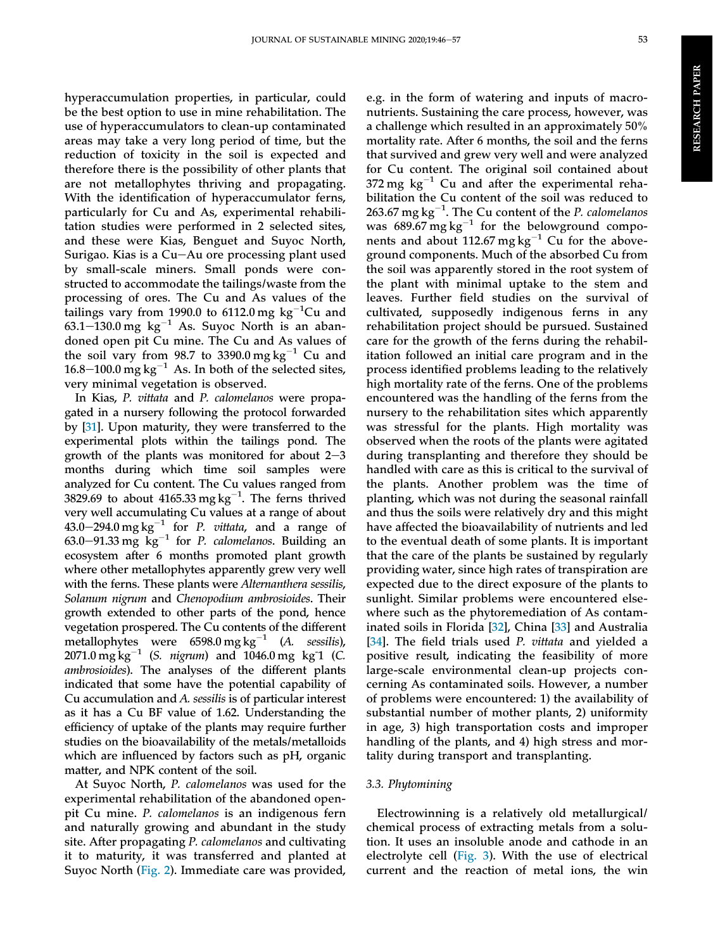hyperaccumulation properties, in particular, could be the best option to use in mine rehabilitation. The use of hyperaccumulators to clean-up contaminated areas may take a very long period of time, but the reduction of toxicity in the soil is expected and therefore there is the possibility of other plants that are not metallophytes thriving and propagating. With the identification of hyperaccumulator ferns, particularly for Cu and As, experimental rehabilitation studies were performed in 2 selected sites, and these were Kias, Benguet and Suyoc North, Surigao. Kias is a Cu $-Au$  ore processing plant used by small-scale miners. Small ponds were constructed to accommodate the tailings/waste from the processing of ores. The Cu and As values of the tailings vary from 1990.0 to 6112.0 mg  $kg^{-1}$ Cu and 63.1–130.0 mg kg<sup>-1</sup> As. Suyoc North is an abandoned open pit Cu mine. The Cu and As values of the soil vary from 98.7 to 3390.0 mg  $kg^{-1}$  Cu and 16.8–100.0 mg kg<sup>-1</sup> As. In both of the selected sites, very minimal vegetation is observed.

In Kias, P. vittata and P. calomelanos were propagated in a nursery following the protocol forwarded by [\[31](#page-13-0)]. Upon maturity, they were transferred to the experimental plots within the tailings pond. The growth of the plants was monitored for about  $2-3$ months during which time soil samples were analyzed for Cu content. The Cu values ranged from 3829.69 to about 4165.33 mg kg $^{-1}$ . The ferns thrived very well accumulating Cu values at a range of about 43.0–294.0 mg kg<sup>-1</sup> for *P. vittata*, and a range of 63.0–91.33 mg  $\text{kg}^{-1}$  for P. calomelanos. Building an ecosystem after 6 months promoted plant growth where other metallophytes apparently grew very well with the ferns. These plants were Alternanthera sessilis, Solanum nigrum and Chenopodium ambrosioides. Their growth extended to other parts of the pond, hence vegetation prospered. The Cu contents of the different metallophytes were  $6598.0$  mg kg<sup>-1</sup> (A. sessilis), 2071.0  $mg \, kg^{-1}$  (S. *nigrum*) and 1046.0 mg kg<sup>-1</sup> (C. ambrosioides). The analyses of the different plants indicated that some have the potential capability of Cu accumulation and A. sessilis is of particular interest as it has a Cu BF value of 1.62. Understanding the efficiency of uptake of the plants may require further studies on the bioavailability of the metals/metalloids which are influenced by factors such as pH, organic matter, and NPK content of the soil.

At Suyoc North, P. calomelanos was used for the experimental rehabilitation of the abandoned openpit Cu mine. P. calomelanos is an indigenous fern and naturally growing and abundant in the study site. After propagating P. calomelanos and cultivating it to maturity, it was transferred and planted at Suyoc North ([Fig. 2](#page-10-0)). Immediate care was provided,

e.g. in the form of watering and inputs of macronutrients. Sustaining the care process, however, was a challenge which resulted in an approximately 50% mortality rate. After 6 months, the soil and the ferns that survived and grew very well and were analyzed for Cu content. The original soil contained about 372 mg  $kg^{-1}$  Cu and after the experimental rehabilitation the Cu content of the soil was reduced to 263.67 mg  $kg^{-1}$ . The Cu content of the P. calomelanos was  $689.67 \text{ mg} \text{ kg}^{-1}$  for the belowground components and about 112.67 mg  $kg^{-1}$  Cu for the aboveground components. Much of the absorbed Cu from the soil was apparently stored in the root system of the plant with minimal uptake to the stem and leaves. Further field studies on the survival of cultivated, supposedly indigenous ferns in any rehabilitation project should be pursued. Sustained care for the growth of the ferns during the rehabilitation followed an initial care program and in the process identified problems leading to the relatively high mortality rate of the ferns. One of the problems encountered was the handling of the ferns from the nursery to the rehabilitation sites which apparently was stressful for the plants. High mortality was observed when the roots of the plants were agitated during transplanting and therefore they should be handled with care as this is critical to the survival of the plants. Another problem was the time of planting, which was not during the seasonal rainfall and thus the soils were relatively dry and this might have affected the bioavailability of nutrients and led to the eventual death of some plants. It is important that the care of the plants be sustained by regularly providing water, since high rates of transpiration are expected due to the direct exposure of the plants to sunlight. Similar problems were encountered elsewhere such as the phytoremediation of As contaminated soils in Florida [\[32](#page-13-0)], China [[33\]](#page-13-0) and Australia [\[34](#page-13-0)]. The field trials used P. vittata and yielded a positive result, indicating the feasibility of more large-scale environmental clean-up projects concerning As contaminated soils. However, a number of problems were encountered: 1) the availability of substantial number of mother plants, 2) uniformity in age, 3) high transportation costs and improper handling of the plants, and 4) high stress and mortality during transport and transplanting.

#### 3.3. Phytomining

Electrowinning is a relatively old metallurgical/ chemical process of extracting metals from a solution. It uses an insoluble anode and cathode in an electrolyte cell [\(Fig. 3\)](#page-11-0). With the use of electrical current and the reaction of metal ions, the win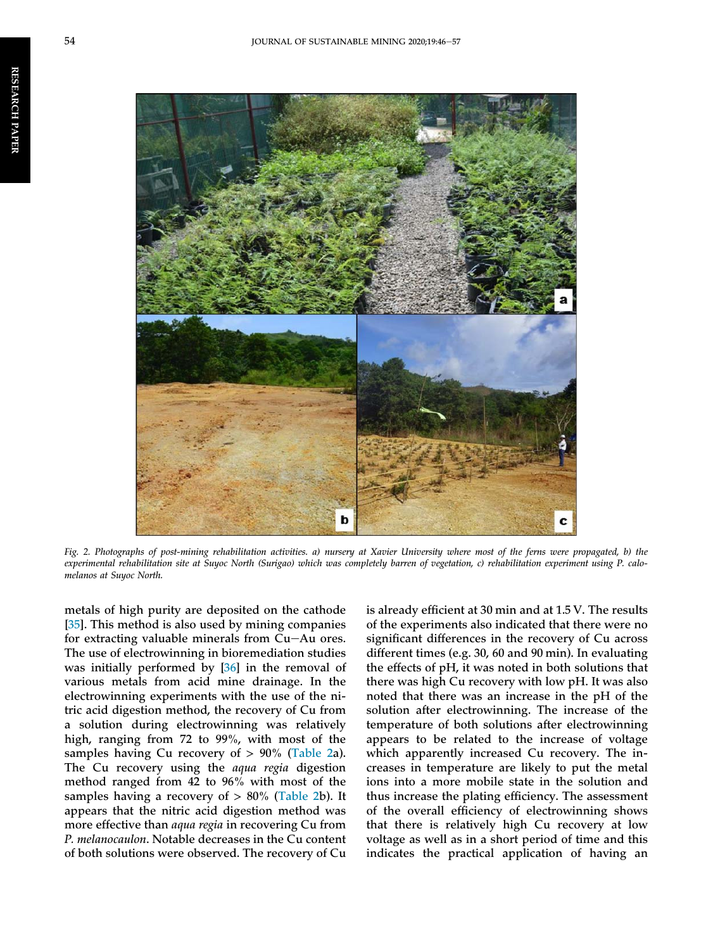<span id="page-10-0"></span>RESEARCH

PAPER



Fig. 2. Photographs of post-mining rehabilitation activities. a) nursery at Xavier University where most of the ferns were propagated, b) the experimental rehabilitation site at Suyoc North (Surigao) which was completely barren of vegetation, c) rehabilitation experiment using P. calomelanos at Suyoc North.

metals of high purity are deposited on the cathode [\[35](#page-13-0)]. This method is also used by mining companies for extracting valuable minerals from  $Cu-Au$  ores. The use of electrowinning in bioremediation studies was initially performed by [\[36](#page-13-0)] in the removal of various metals from acid mine drainage. In the electrowinning experiments with the use of the nitric acid digestion method, the recovery of Cu from a solution during electrowinning was relatively high, ranging from 72 to 99%, with most of the samples having Cu recovery of  $> 90\%$  (Table 2a). The Cu recovery using the aqua regia digestion method ranged from 42 to 96% with most of the samples having a recovery of  $> 80\%$  (Table 2b). It appears that the nitric acid digestion method was more effective than *aqua regia* in recovering Cu from P. melanocaulon. Notable decreases in the Cu content of both solutions were observed. The recovery of Cu

is already efficient at 30 min and at 1.5 V. The results of the experiments also indicated that there were no significant differences in the recovery of Cu across different times (e.g. 30, 60 and 90 min). In evaluating the effects of pH, it was noted in both solutions that there was high Cu recovery with low pH. It was also noted that there was an increase in the pH of the solution after electrowinning. The increase of the temperature of both solutions after electrowinning appears to be related to the increase of voltage which apparently increased Cu recovery. The increases in temperature are likely to put the metal ions into a more mobile state in the solution and thus increase the plating efficiency. The assessment of the overall efficiency of electrowinning shows that there is relatively high Cu recovery at low voltage as well as in a short period of time and this indicates the practical application of having an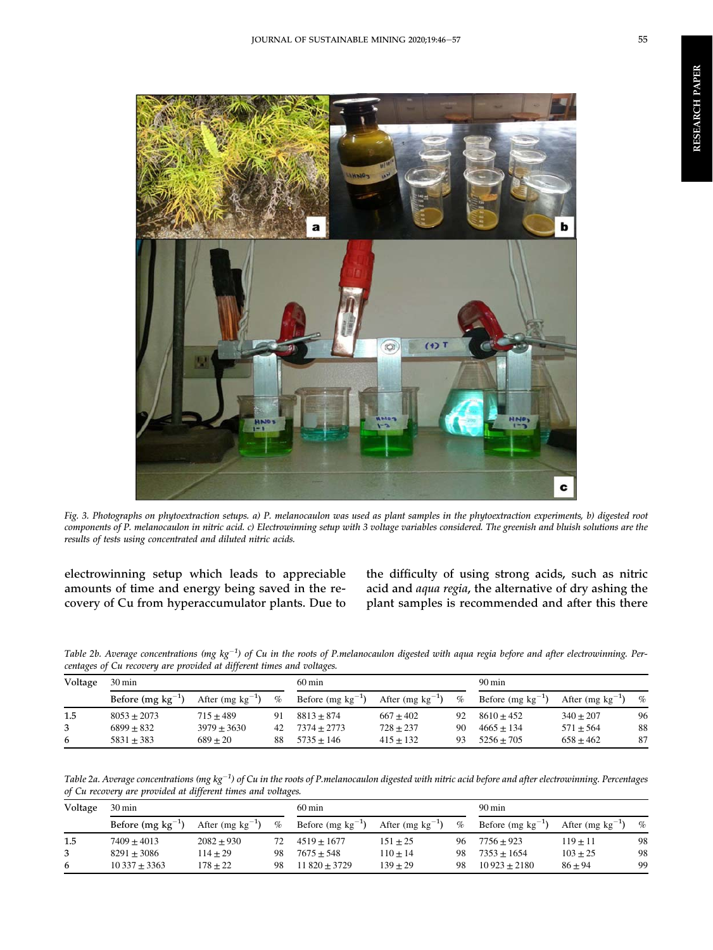<span id="page-11-0"></span>

Fig. 3. Photographs on phytoextraction setups. a) P. melanocaulon was used as plant samples in the phytoextraction experiments, b) digested root components of P. melanocaulon in nitric acid. c) Electrowinning setup with 3 voltage variables considered. The greenish and bluish solutions are the results of tests using concentrated and diluted nitric acids.

electrowinning setup which leads to appreciable amounts of time and energy being saved in the recovery of Cu from hyperaccumulator plants. Due to the difficulty of using strong acids, such as nitric acid and aqua regia, the alternative of dry ashing the plant samples is recommended and after this there

Table 2b. Average concentrations (mg kg<sup>-1</sup>) of Cu in the roots of P.melanocaulon digested with aqua regia before and after electrowinning. Percentages of Cu recovery are provided at different times and voltages.

| Voltage | $30 \,\mathrm{min}$   |                       |      | $60 \text{ min}$              |                       |                | $90 \,\mathrm{min}$    |                       |      |  |
|---------|-----------------------|-----------------------|------|-------------------------------|-----------------------|----------------|------------------------|-----------------------|------|--|
|         | Before $(mg kg^{-1})$ | After (mg $kg^{-1}$ ) | $\%$ | Before $(mg \text{ kg}^{-1})$ | After (mg $kg^{-1}$ ) | $\%$           | Before (mg $kg^{-1}$ ) | After (mg $kg^{-1}$ ) | $\%$ |  |
| 1.5     | $8053 + 2073$         | $715 + 489$           | 91   | $8813 + 874$                  | $667 + 402$           | 92             | $8610 + 452$           | $340 + 207$           | 96   |  |
| 3       | $6899 + 832$          | $3979 \pm 3630$       | 42   | $7374 + 2773$                 | $728 + 237$           | 90             | $4665 + 134$           | $571 \pm 564$         | 88   |  |
| 6       | $5831 + 383$          | $689 + 20$            | 88   | $5735 + 146$                  | $415 + 132$           | Q <sub>3</sub> | $5256 + 705$           | $658 \pm 462$         | 87   |  |

Table 2a. Average concentrations (mg kg<sup>-1</sup>) of Cu in the roots of P.melanocaulon digested with nitric acid before and after electrowinning. Percentages of Cu recovery are provided at different times and voltages.

| Voltage | 30 min                |                       |      | $60 \,\mathrm{min}$           |                       |      | $90 \,\mathrm{min}$   |                       |      |
|---------|-----------------------|-----------------------|------|-------------------------------|-----------------------|------|-----------------------|-----------------------|------|
|         | Before $(mg kg^{-1})$ | After (mg $kg^{-1}$ ) | $\%$ | Before $(mg \text{ kg}^{-1})$ | After (mg $kg^{-1}$ ) | $\%$ | Before $(mg kg^{-1})$ | After (mg $kg^{-1}$ ) | $\%$ |
| 1.5     | $7409 + 4013$         | $2082 + 930$          |      | $4519 + 1677$                 | $151 + 25$            | 96   | $7756 + 923$          | $119 + 11$            | 98   |
| 3       | $8291 + 3086$         | $114 + 29$            | 98   | $7675 + 548$                  | $110 + 14$            | 98   | $7353 + 1654$         | $103 \pm 25$          | 98   |
| 6       | $10\,337 + 3363$      | $178 + 22$            | 98   | $11820 + 3729$                | $139 + 29$            | 98   | $10923 + 2180$        | $86 + 94$             | 99   |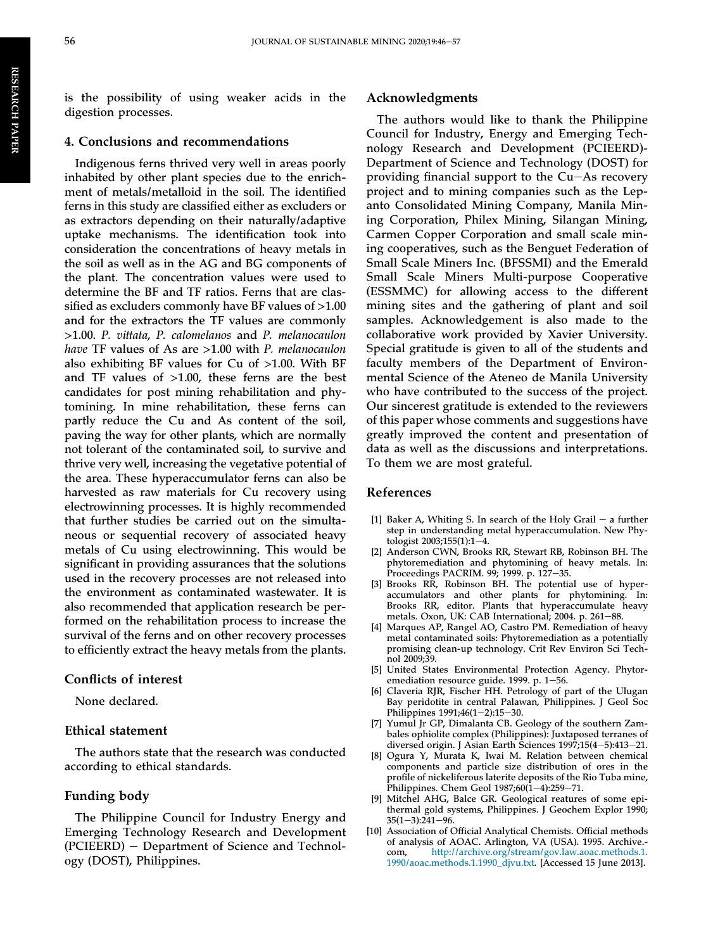is the possibility of using weaker acids in the digestion processes.

#### 4. Conclusions and recommendations

Indigenous ferns thrived very well in areas poorly inhabited by other plant species due to the enrichment of metals/metalloid in the soil. The identified ferns in this study are classified either as excluders or as extractors depending on their naturally/adaptive uptake mechanisms. The identification took into consideration the concentrations of heavy metals in the soil as well as in the AG and BG components of the plant. The concentration values were used to determine the BF and TF ratios. Ferns that are classified as excluders commonly have BF values of >1.00 and for the extractors the TF values are commonly >1.00. P. vittata, P. calomelanos and P. melanocaulon have TF values of As are >1.00 with P. melanocaulon also exhibiting BF values for Cu of >1.00. With BF and TF values of >1.00, these ferns are the best candidates for post mining rehabilitation and phytomining. In mine rehabilitation, these ferns can partly reduce the Cu and As content of the soil, paving the way for other plants, which are normally not tolerant of the contaminated soil, to survive and thrive very well, increasing the vegetative potential of the area. These hyperaccumulator ferns can also be harvested as raw materials for Cu recovery using electrowinning processes. It is highly recommended that further studies be carried out on the simultaneous or sequential recovery of associated heavy metals of Cu using electrowinning. This would be significant in providing assurances that the solutions used in the recovery processes are not released into the environment as contaminated wastewater. It is also recommended that application research be performed on the rehabilitation process to increase the survival of the ferns and on other recovery processes to efficiently extract the heavy metals from the plants.

#### Conflicts of interest

None declared.

#### Ethical statement

The authors state that the research was conducted according to ethical standards.

#### Funding body

The Philippine Council for Industry Energy and Emerging Technology Research and Development  $(PCIEERD)$  – Department of Science and Technology (DOST), Philippines.

#### Acknowledgments

The authors would like to thank the Philippine Council for Industry, Energy and Emerging Technology Research and Development (PCIEERD)- Department of Science and Technology (DOST) for providing financial support to the  $Cu-As$  recovery project and to mining companies such as the Lepanto Consolidated Mining Company, Manila Mining Corporation, Philex Mining, Silangan Mining, Carmen Copper Corporation and small scale mining cooperatives, such as the Benguet Federation of Small Scale Miners Inc. (BFSSMI) and the Emerald Small Scale Miners Multi-purpose Cooperative (ESSMMC) for allowing access to the different mining sites and the gathering of plant and soil samples. Acknowledgement is also made to the collaborative work provided by Xavier University. Special gratitude is given to all of the students and faculty members of the Department of Environmental Science of the Ateneo de Manila University who have contributed to the success of the project. Our sincerest gratitude is extended to the reviewers of this paper whose comments and suggestions have greatly improved the content and presentation of data as well as the discussions and interpretations. To them we are most grateful.

#### References

- [1] [Baker A, Whiting S. In search of the Holy Grail](http://refhub.elsevier.com/S2300-3960(20)30015-X/sref5)  $-$  [a further](http://refhub.elsevier.com/S2300-3960(20)30015-X/sref5) [step in understanding metal hyperaccumulation. New Phy](http://refhub.elsevier.com/S2300-3960(20)30015-X/sref5)tologist  $2003;155(1):1-4$  $2003;155(1):1-4$ .
- [2] [Anderson CWN, Brooks RR, Stewart RB, Robinson BH. The](http://refhub.elsevier.com/S2300-3960(20)30015-X/sref1) [phytoremediation and phytomining of heavy metals. In:](http://refhub.elsevier.com/S2300-3960(20)30015-X/sref1) [Proceedings PACRIM. 99; 1999. p. 127](http://refhub.elsevier.com/S2300-3960(20)30015-X/sref1)-[35](http://refhub.elsevier.com/S2300-3960(20)30015-X/sref1).
- [3] [Brooks RR, Robinson BH. The potential use of hyper](http://refhub.elsevier.com/S2300-3960(20)30015-X/sref6)[accumulators and other plants for phytomining. In:](http://refhub.elsevier.com/S2300-3960(20)30015-X/sref6) [Brooks RR, editor. Plants that hyperaccumulate heavy](http://refhub.elsevier.com/S2300-3960(20)30015-X/sref6) [metals. Oxon, UK: CAB International; 2004. p. 261](http://refhub.elsevier.com/S2300-3960(20)30015-X/sref6)-[88](http://refhub.elsevier.com/S2300-3960(20)30015-X/sref6).
- [4] [Marques AP, Rangel AO, Castro PM. Remediation of heavy](http://refhub.elsevier.com/S2300-3960(20)30015-X/sref19) [metal contaminated soils: Phytoremediation as a potentially](http://refhub.elsevier.com/S2300-3960(20)30015-X/sref19) [promising clean-up technology. Crit Rev Environ Sci Tech](http://refhub.elsevier.com/S2300-3960(20)30015-X/sref19)[nol 2009;39](http://refhub.elsevier.com/S2300-3960(20)30015-X/sref19).
- [5] [United States Environmental Protection Agency. Phytor](http://refhub.elsevier.com/S2300-3960(20)30015-X/sref30)emediation resource guide. 1999. p.  $1-56$ .
- [6] [Claveria RJR, Fischer HH. Petrology of part of the Ulugan](http://refhub.elsevier.com/S2300-3960(20)30015-X/sref8) [Bay peridotite in central Palawan, Philippines. J Geol Soc](http://refhub.elsevier.com/S2300-3960(20)30015-X/sref8) Philippines  $1991;46(1-2):15-30$  $1991;46(1-2):15-30$  $1991;46(1-2):15-30$  $1991;46(1-2):15-30$ .
- [7] [Yumul Jr GP, Dimalanta CB. Geology of the southern Zam](http://refhub.elsevier.com/S2300-3960(20)30015-X/sref34)[bales ophiolite complex \(Philippines\): Juxtaposed terranes of](http://refhub.elsevier.com/S2300-3960(20)30015-X/sref34) [diversed origin. J Asian Earth Sciences 1997;15\(4](http://refhub.elsevier.com/S2300-3960(20)30015-X/sref34)-[5\):413](http://refhub.elsevier.com/S2300-3960(20)30015-X/sref34)-[21](http://refhub.elsevier.com/S2300-3960(20)30015-X/sref34).
- [8] [Ogura Y, Murata K, Iwai M. Relation between chemical](http://refhub.elsevier.com/S2300-3960(20)30015-X/sref23) [components and particle size distribution of ores in the](http://refhub.elsevier.com/S2300-3960(20)30015-X/sref23) profi[le of nickeliferous laterite deposits of the Rio Tuba mine,](http://refhub.elsevier.com/S2300-3960(20)30015-X/sref23) Philippines. Chem Geol  $1987;60(1-4):259-71$  $1987;60(1-4):259-71$  $1987;60(1-4):259-71$ .
- [9] [Mitchel AHG, Balce GR. Geological reatures of some epi](http://refhub.elsevier.com/S2300-3960(20)30015-X/sref21)[thermal gold systems, Philippines. J Geochem Explor 1990;](http://refhub.elsevier.com/S2300-3960(20)30015-X/sref21)  $35(1-3):241-96.$  $35(1-3):241-96.$  $35(1-3):241-96.$  $35(1-3):241-96.$  $35(1-3):241-96.$  $35(1-3):241-96.$
- [10] Association of Official Analytical Chemists. Official methods of analysis of AOAC. Arlington, VA (USA). 1995. Archive. com, [http://archive.org/stream/gov.law.aoac.methods.1.](http://archive.org/stream/gov.law.aoac.methods.1.1990/aoac.methods.1.1990_djvu.txt) [1990/aoac.methods.1.1990\\_djvu.txt](http://archive.org/stream/gov.law.aoac.methods.1.1990/aoac.methods.1.1990_djvu.txt). [Accessed 15 June 2013].

<span id="page-12-0"></span>RESEARCH

PAPER